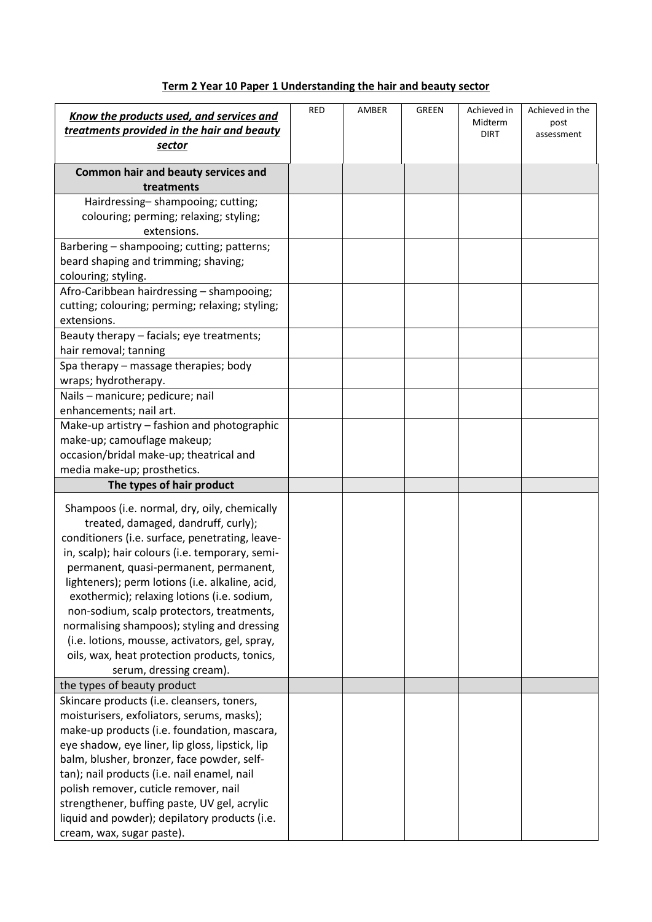## **Term 2 Year 10 Paper 1 Understanding the hair and beauty sector**

| Know the products used, and services and<br>treatments provided in the hair and beauty | RED | AMBER | <b>GREEN</b> | Achieved in<br>Midterm<br><b>DIRT</b> | Achieved in the<br>post<br>assessment |
|----------------------------------------------------------------------------------------|-----|-------|--------------|---------------------------------------|---------------------------------------|
| sector                                                                                 |     |       |              |                                       |                                       |
| Common hair and beauty services and<br>treatments                                      |     |       |              |                                       |                                       |
| Hairdressing-shampooing; cutting;                                                      |     |       |              |                                       |                                       |
| colouring; perming; relaxing; styling;                                                 |     |       |              |                                       |                                       |
| extensions.                                                                            |     |       |              |                                       |                                       |
| Barbering - shampooing; cutting; patterns;                                             |     |       |              |                                       |                                       |
| beard shaping and trimming; shaving;                                                   |     |       |              |                                       |                                       |
| colouring; styling.                                                                    |     |       |              |                                       |                                       |
| Afro-Caribbean hairdressing - shampooing;                                              |     |       |              |                                       |                                       |
| cutting; colouring; perming; relaxing; styling;                                        |     |       |              |                                       |                                       |
| extensions.                                                                            |     |       |              |                                       |                                       |
| Beauty therapy - facials; eye treatments;                                              |     |       |              |                                       |                                       |
| hair removal; tanning                                                                  |     |       |              |                                       |                                       |
| Spa therapy - massage therapies; body                                                  |     |       |              |                                       |                                       |
| wraps; hydrotherapy.                                                                   |     |       |              |                                       |                                       |
| Nails - manicure; pedicure; nail                                                       |     |       |              |                                       |                                       |
| enhancements; nail art.                                                                |     |       |              |                                       |                                       |
| Make-up artistry - fashion and photographic                                            |     |       |              |                                       |                                       |
| make-up; camouflage makeup;<br>occasion/bridal make-up; theatrical and                 |     |       |              |                                       |                                       |
| media make-up; prosthetics.                                                            |     |       |              |                                       |                                       |
| The types of hair product                                                              |     |       |              |                                       |                                       |
|                                                                                        |     |       |              |                                       |                                       |
| Shampoos (i.e. normal, dry, oily, chemically                                           |     |       |              |                                       |                                       |
| treated, damaged, dandruff, curly);                                                    |     |       |              |                                       |                                       |
| conditioners (i.e. surface, penetrating, leave-                                        |     |       |              |                                       |                                       |
| in, scalp); hair colours (i.e. temporary, semi-                                        |     |       |              |                                       |                                       |
| permanent, quasi-permanent, permanent,                                                 |     |       |              |                                       |                                       |
| lighteners); perm lotions (i.e. alkaline, acid,                                        |     |       |              |                                       |                                       |
| exothermic); relaxing lotions (i.e. sodium,                                            |     |       |              |                                       |                                       |
| non-sodium, scalp protectors, treatments,                                              |     |       |              |                                       |                                       |
| normalising shampoos); styling and dressing                                            |     |       |              |                                       |                                       |
| (i.e. lotions, mousse, activators, gel, spray,                                         |     |       |              |                                       |                                       |
| oils, wax, heat protection products, tonics,<br>serum, dressing cream).                |     |       |              |                                       |                                       |
| the types of beauty product                                                            |     |       |              |                                       |                                       |
| Skincare products (i.e. cleansers, toners,                                             |     |       |              |                                       |                                       |
| moisturisers, exfoliators, serums, masks);                                             |     |       |              |                                       |                                       |
| make-up products (i.e. foundation, mascara,                                            |     |       |              |                                       |                                       |
| eye shadow, eye liner, lip gloss, lipstick, lip                                        |     |       |              |                                       |                                       |
| balm, blusher, bronzer, face powder, self-                                             |     |       |              |                                       |                                       |
| tan); nail products (i.e. nail enamel, nail                                            |     |       |              |                                       |                                       |
| polish remover, cuticle remover, nail                                                  |     |       |              |                                       |                                       |
| strengthener, buffing paste, UV gel, acrylic                                           |     |       |              |                                       |                                       |
| liquid and powder); depilatory products (i.e.                                          |     |       |              |                                       |                                       |
| cream, wax, sugar paste).                                                              |     |       |              |                                       |                                       |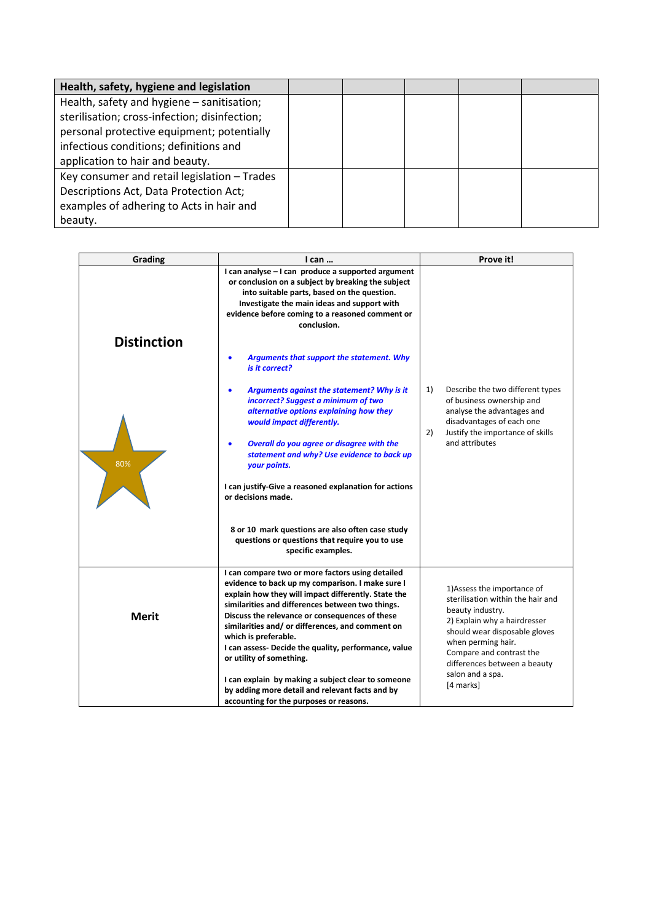| Health, safety, hygiene and legislation       |  |  |
|-----------------------------------------------|--|--|
| Health, safety and hygiene - sanitisation;    |  |  |
| sterilisation; cross-infection; disinfection; |  |  |
| personal protective equipment; potentially    |  |  |
| infectious conditions; definitions and        |  |  |
| application to hair and beauty.               |  |  |
| Key consumer and retail legislation - Trades  |  |  |
| Descriptions Act, Data Protection Act;        |  |  |
| examples of adhering to Acts in hair and      |  |  |
| beauty.                                       |  |  |

| Grading            | I can                                                                                                                                                                                                                                                                                                                                                                                                                                                                                                     | Prove it!                                                                                                                                                                                                                                                   |  |  |
|--------------------|-----------------------------------------------------------------------------------------------------------------------------------------------------------------------------------------------------------------------------------------------------------------------------------------------------------------------------------------------------------------------------------------------------------------------------------------------------------------------------------------------------------|-------------------------------------------------------------------------------------------------------------------------------------------------------------------------------------------------------------------------------------------------------------|--|--|
|                    | I can analyse - I can produce a supported argument<br>or conclusion on a subject by breaking the subject<br>into suitable parts, based on the question.<br>Investigate the main ideas and support with<br>evidence before coming to a reasoned comment or<br>conclusion.                                                                                                                                                                                                                                  |                                                                                                                                                                                                                                                             |  |  |
| <b>Distinction</b> |                                                                                                                                                                                                                                                                                                                                                                                                                                                                                                           |                                                                                                                                                                                                                                                             |  |  |
|                    | Arguments that support the statement. Why<br>$\bullet$<br>is it correct?                                                                                                                                                                                                                                                                                                                                                                                                                                  |                                                                                                                                                                                                                                                             |  |  |
| 80%                | Arguments against the statement? Why is it<br>$\bullet$<br>incorrect? Suggest a minimum of two<br>alternative options explaining how they<br>would impact differently.<br>Overall do you agree or disagree with the<br>$\bullet$<br>statement and why? Use evidence to back up<br>your points.<br>I can justify-Give a reasoned explanation for actions<br>or decisions made.<br>8 or 10 mark questions are also often case study<br>questions or questions that require you to use<br>specific examples. | 1)<br>Describe the two different types<br>of business ownership and<br>analyse the advantages and<br>disadvantages of each one<br>2)<br>Justify the importance of skills<br>and attributes                                                                  |  |  |
| <b>Merit</b>       | I can compare two or more factors using detailed<br>evidence to back up my comparison. I make sure I<br>explain how they will impact differently. State the<br>similarities and differences between two things.<br>Discuss the relevance or consequences of these<br>similarities and/ or differences, and comment on<br>which is preferable.<br>I can assess- Decide the quality, performance, value<br>or utility of something.                                                                         | 1) Assess the importance of<br>sterilisation within the hair and<br>beauty industry.<br>2) Explain why a hairdresser<br>should wear disposable gloves<br>when perming hair.<br>Compare and contrast the<br>differences between a beauty<br>salon and a spa. |  |  |
|                    | I can explain by making a subject clear to someone<br>by adding more detail and relevant facts and by<br>accounting for the purposes or reasons.                                                                                                                                                                                                                                                                                                                                                          | [4 marks]                                                                                                                                                                                                                                                   |  |  |